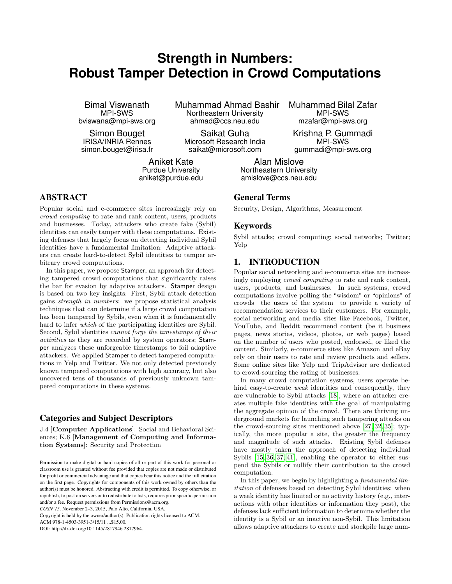# **Strength in Numbers: Robust Tamper Detection in Crowd Computations**

Bimal Viswanath MPI-SWS bviswana@mpi-sws.org

Simon Bouget IRISA/INRIA Rennes simon.bouget@irisa.fr Muhammad Ahmad Bashir Northeastern University ahmad@ccs.neu.edu

Saikat Guha Microsoft Research India saikat@microsoft.com

Aniket Kate Purdue University aniket@purdue.edu

## ABSTRACT

Popular social and e-commerce sites increasingly rely on crowd computing to rate and rank content, users, products and businesses. Today, attackers who create fake (Sybil) identities can easily tamper with these computations. Existing defenses that largely focus on detecting individual Sybil identities have a fundamental limitation: Adaptive attackers can create hard-to-detect Sybil identities to tamper arbitrary crowd computations.

In this paper, we propose Stamper, an approach for detecting tampered crowd computations that significantly raises the bar for evasion by adaptive attackers. Stamper design is based on two key insights: First, Sybil attack detection gains strength in numbers: we propose statistical analysis techniques that can determine if a large crowd computation has been tampered by Sybils, even when it is fundamentally hard to infer which of the participating identities are Sybil. Second, Sybil identities cannot forge the timestamps of their activities as they are recorded by system operators; Stamper analyzes these unforgeable timestamps to foil adaptive attackers. We applied Stamper to detect tampered computations in Yelp and Twitter. We not only detected previously known tampered computations with high accuracy, but also uncovered tens of thousands of previously unknown tampered computations in these systems.

# Categories and Subject Descriptors

J.4 [Computer Applications]: Social and Behavioral Sciences; K.6 [Management of Computing and Information Systems]: Security and Protection

Copyright is held by the owner/author(s). Publication rights licensed to ACM.

ACM 978-1-4503-3951-3/15/11 ...\$15.00.

DOI: http://dx.doi.org/10.1145/2817946.2817964.

Muhammad Bilal Zafar MPI-SWS mzafar@mpi-sws.org

Krishna P. Gummadi MPI-SWS gummadi@mpi-sws.org

Alan Mislove Northeastern University amislove@ccs.neu.edu

## General Terms

Security, Design, Algorithms, Measurement

#### Keywords

Sybil attacks; crowd computing; social networks; Twitter; Yelp

# 1. INTRODUCTION

Popular social networking and e-commerce sites are increasingly employing crowd computing to rate and rank content, users, products, and businesses. In such systems, crowd computations involve polling the "wisdom" or "opinions" of crowds—the users of the system—to provide a variety of recommendation services to their customers. For example, social networking and media sites like Facebook, Twitter, YouTube, and Reddit recommend content (be it business pages, news stories, videos, photos, or web pages) based on the number of users who posted, endorsed, or liked the content. Similarly, e-commerce sites like Amazon and eBay rely on their users to rate and review products and sellers. Some online sites like Yelp and TripAdvisor are dedicated to crowd-sourcing the rating of businesses.

In many crowd computation systems, users operate behind easy-to-create *weak* identities and consequently, they are vulnerable to Sybil attacks [\[18\]](#page-10-0), where an attacker creates multiple fake identities with the goal of manipulating the aggregate opinion of the crowd. There are thriving underground markets for launching such tampering attacks on the crowd-sourcing sites mentioned above [\[27,](#page-11-0) [32,](#page-11-1) [35\]](#page-11-2); typically, the more popular a site, the greater the frequency and magnitude of such attacks. Existing Sybil defenses have mostly taken the approach of detecting individual Sybils [\[15,](#page-10-1) [36,](#page-11-3) [37,](#page-11-4) [41\]](#page-11-5), enabling the operator to either suspend the Sybils or nullify their contribution to the crowd computation.

In this paper, we begin by highlighting a *fundamental lim*itation of defenses based on detecting Sybil identities: when a weak identity has limited or no activity history (e.g., interactions with other identities or information they post), the defenses lack sufficient information to determine whether the identity is a Sybil or an inactive non-Sybil. This limitation allows adaptive attackers to create and stockpile large num-

Permission to make digital or hard copies of all or part of this work for personal or classroom use is granted without fee provided that copies are not made or distributed for profit or commercial advantage and that copies bear this notice and the full citation on the first page. Copyrights for components of this work owned by others than the author(s) must be honored. Abstracting with credit is permitted. To copy otherwise, or republish, to post on servers or to redistribute to lists, requires prior specific permission and/or a fee. Request permissions from Permissions@acm.org. *COSN'15,* November 2–3, 2015, Palo Alto, California, USA.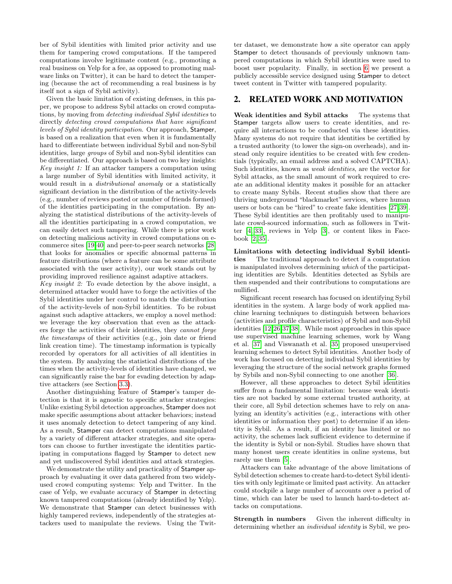ber of Sybil identities with limited prior activity and use them for tampering crowd computations. If the tampered computations involve legitimate content (e.g., promoting a real business on Yelp for a fee, as opposed to promoting malware links on Twitter), it can be hard to detect the tampering (because the act of recommending a real business is by itself not a sign of Sybil activity).

Given the basic limitation of existing defenses, in this paper, we propose to address Sybil attacks on crowd computations, by moving from detecting individual Sybil identities to directly detecting crowd computations that have significant levels of Sybil identity participation. Our approach, Stamper, is based on a realization that even when it is fundamentally hard to differentiate between individual Sybil and non-Sybil identities, large groups of Sybil and non-Sybil identities can be differentiated. Our approach is based on two key insights: Key insight 1: If an attacker tampers a computation using a large number of Sybil identities with limited activity, it would result in a distributional anomaly or a statistically significant deviation in the distribution of the activity-levels (e.g., number of reviews posted or number of friends formed) of the identities participating in the computation. By analyzing the statistical distributions of the activity-levels of all the identities participating in a crowd computation, we can easily detect such tampering. While there is prior work on detecting malicious activity in crowd computations on ecommerce sites [\[19,](#page-10-2)[40\]](#page-11-6) and peer-to-peer search networks [\[28\]](#page-11-7) that looks for anomalies or specific abnormal patterns in feature distributions (where a feature can be some attribute associated with the user activity), our work stands out by providing improved resilience against adaptive attackers.

Key insight 2: To evade detection by the above insight, a determined attacker would have to forge the activities of the Sybil identities under her control to match the distribution of the activity-levels of non-Sybil identities. To be robust against such adaptive attackers, we employ a novel method: we leverage the key observation that even as the attackers forge the activities of their identities, they cannot forge the timestamps of their activities (e.g., join date or friend link creation time). The timestamp information is typically recorded by operators for all activities of all identities in the system. By analyzing the statistical distributions of the times when the activity-levels of identities have changed, we can significantly raise the bar for evading detection by adaptive attackers (see Section [3.3\)](#page-3-0).

Another distinguishing feature of Stamper's tamper detection is that it is agnostic to specific attacker strategies: Unlike existing Sybil detection approaches, Stamper does not make specific assumptions about attacker behaviors; instead it uses anomaly detection to detect tampering of any kind. As a result, Stamper can detect computations manipulated by a variety of different attacker strategies, and site operators can choose to further investigate the identities participating in computations flagged by Stamper to detect new and yet undiscovered Sybil identities and attack strategies.

We demonstrate the utility and practicality of Stamper approach by evaluating it over data gathered from two widelyused crowd computing systems: Yelp and Twitter. In the case of Yelp, we evaluate accuracy of Stamper in detecting known tampered computations (already identified by Yelp). We demonstrate that Stamper can detect businesses with highly tampered reviews, independently of the strategies attackers used to manipulate the reviews. Using the Twitter dataset, we demonstrate how a site operator can apply Stamper to detect thousands of previously unknown tampered computations in which Sybil identities were used to boost user popularity. Finally, in section [6](#page-10-3) we present a publicly accessible service designed using Stamper to detect tweet content in Twitter with tampered popularity.

## 2. RELATED WORK AND MOTIVATION

Weak identities and Sybil attacks The systems that Stamper targets allow users to create identities, and require all interactions to be conducted via these identities. Many systems do not require that identities be certified by a trusted authority (to lower the sign-on overheads), and instead only require identities to be created with few credentials (typically, an email address and a solved CAPTCHA). Such identities, known as weak identities, are the vector for Sybil attacks, as the small amount of work required to create an additional identity makes it possible for an attacker to create many Sybils. Recent studies show that there are thriving underground "blackmarket" services, where human users or bots can be "hired" to create fake identities [\[27,](#page-11-0) [39\]](#page-11-8). These Sybil identities are then profitably used to manipulate crowd-sourced information, such as followers in Twitter [\[4,](#page-10-4) [33\]](#page-11-9), reviews in Yelp [\[3\]](#page-10-5), or content likes in Facebook [\[2,](#page-10-6) [35\]](#page-11-2).

Limitations with detecting individual Sybil identities The traditional approach to detect if a computation is manipulated involves determining which of the participating identities are Sybils. Identities detected as Sybils are then suspended and their contributions to computations are nullified.

Significant recent research has focused on identifying Sybil identities in the system. A large body of work applied machine learning techniques to distinguish between behaviors (activities and profile characteristics) of Sybil and non-Sybil identities [\[12](#page-10-7)[,26,](#page-11-10)[37,](#page-11-4)[38\]](#page-11-11). While most approaches in this space use supervised machine learning schemes, work by Wang et al. [\[37\]](#page-11-4) and Viswanath et al. [\[35\]](#page-11-2) proposed unsupervised learning schemes to detect Sybil identities. Another body of work has focused on detecting individual Sybil identities by leveraging the structure of the social network graphs formed by Sybils and non-Sybil connecting to one another [\[36\]](#page-11-3).

However, all these approaches to detect Sybil identities suffer from a fundamental limitation: because weak identities are not backed by some external trusted authority, at their core, all Sybil detection schemes have to rely on analyzing an identity's activities (e.g., interactions with other identities or information they post) to determine if an identity is Sybil. As a result, if an identity has limited or no activity, the schemes lack sufficient evidence to determine if the identity is Sybil or non-Sybil. Studies have shown that many honest users create identities in online systems, but rarely use them [\[5\]](#page-10-8).

Attackers can take advantage of the above limitations of Sybil detection schemes to create hard-to-detect Sybil identities with only legitimate or limited past activity. An attacker could stockpile a large number of accounts over a period of time, which can later be used to launch hard-to-detect attacks on computations.

Strength in numbers Given the inherent difficulty in determining whether an individual identity is Sybil, we pro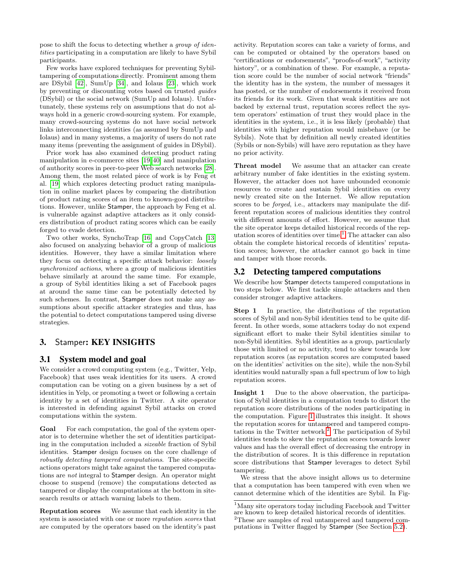pose to shift the focus to detecting whether a group of identities participating in a computation are likely to have Sybil participants.

Few works have explored techniques for preventing Sybiltampering of computations directly. Prominent among them are DSybil [\[42\]](#page-11-12), SumUp [\[34\]](#page-11-13), and Iolaus [\[23\]](#page-11-14), which work by preventing or discounting votes based on trusted guides (DSybil) or the social network (SumUp and Iolaus). Unfortunately, these systems rely on assumptions that do not always hold in a generic crowd-sourcing system. For example, many crowd-sourcing systems do not have social network links interconnecting identities (as assumed by SumUp and Iolaus) and in many systems, a majority of users do not rate many items (preventing the assignment of guides in DSybil).

Prior work has also examined detecting product rating manipulation in e-commerce sites [\[19,](#page-10-2) [40\]](#page-11-6) and manipulation of authority scores in peer-to-peer Web search networks [\[28\]](#page-11-7). Among them, the most related piece of work is by Feng et al. [\[19\]](#page-10-2) which explores detecting product rating manipulation in online market places by comparing the distribution of product rating scores of an item to known-good distributions. However, unlike Stamper, the approach by Feng et al. is vulnerable against adaptive attackers as it only considers distribution of product rating scores which can be easily forged to evade detection.

Two other works, SynchoTrap [\[16\]](#page-10-9) and CopyCatch [\[13\]](#page-10-10) also focused on analyzing behavior of a group of malicious identities. However, they have a similar limitation where they focus on detecting a specific attack behavior: loosely synchronized actions, where a group of malicious identities behave similarly at around the same time. For example, a group of Sybil identities liking a set of Facebook pages at around the same time can be potentially detected by such schemes. In contrast, Stamper does not make any assumptions about specific attacker strategies and thus, has the potential to detect computations tampered using diverse strategies.

# 3. Stamper: KEY INSIGHTS

## 3.1 System model and goal

We consider a crowd computing system (e.g., Twitter, Yelp, Facebook) that uses weak identities for its users. A crowd computation can be voting on a given business by a set of identities in Yelp, or promoting a tweet or following a certain identity by a set of identities in Twitter. A site operator is interested in defending against Sybil attacks on crowd computations within the system.

Goal For each computation, the goal of the system operator is to determine whether the set of identities participating in the computation included a sizeable fraction of Sybil identities. Stamper design focuses on the core challenge of robustly detecting tampered computations. The site-specific actions operators might take against the tampered computations are not integral to Stamper design. An operator might choose to suspend (remove) the computations detected as tampered or display the computations at the bottom in sitesearch results or attach warning labels to them.

Reputation scores We assume that each identity in the system is associated with one or more reputation scores that are computed by the operators based on the identity's past

activity. Reputation scores can take a variety of forms, and can be computed or obtained by the operators based on "certifications or endorsements", "proofs-of-work", "activity history", or a combination of these. For example, a reputation score could be the number of social network "friends" the identity has in the system, the number of messages it has posted, or the number of endorsements it received from its friends for its work. Given that weak identities are not backed by external trust, reputation scores reflect the system operators' estimation of trust they would place in the identities in the system, i.e., it is less likely (probable) that identities with higher reputation would misbehave (or be Sybils). Note that by definition all newly created identities (Sybils or non-Sybils) will have zero reputation as they have no prior activity.

Threat model We assume that an attacker can create arbitrary number of fake identities in the existing system. However, the attacker does not have unbounded economic resources to create and sustain Sybil identities on every newly created site on the Internet. We allow reputation scores to be forged, i.e., attackers may manipulate the different reputation scores of malicious identities they control with different amounts of effort. However, we assume that the site operator keeps detailed historical records of the rep-utation scores of identities over time.<sup>[1](#page-2-0)</sup> The attacker can also obtain the complete historical records of identities' reputation scores; however, the attacker cannot go back in time and tamper with those records.

## 3.2 Detecting tampered computations

We describe how Stamper detects tampered computations in two steps below. We first tackle simple attackers and then consider stronger adaptive attackers.

Step 1 In practice, the distributions of the reputation scores of Sybil and non-Sybil identities tend to be quite different. In other words, some attackers today do not expend significant effort to make their Sybil identities similar to non-Sybil identities. Sybil identities as a group, particularly those with limited or no activity, tend to skew towards low reputation scores (as reputation scores are computed based on the identities' activities on the site), while the non-Sybil identities would naturally span a full spectrum of low to high reputation scores.

Insight 1 Due to the above observation, the participation of Sybil identities in a computation tends to distort the reputation score distributions of the nodes participating in the computation. Figure [1](#page-3-1) illustrates this insight. It shows the reputation scores for untampered and tampered compu-tations in the Twitter network.<sup>[2](#page-2-1)</sup> The participation of Sybil identities tends to skew the reputation scores towards lower values and has the overall effect of decreasing the entropy in the distribution of scores. It is this difference in reputation score distributions that Stamper leverages to detect Sybil tampering.

We stress that the above insight allows us to determine that a computation has been tampered with even when we cannot determine which of the identities are Sybil. In Fig-

<span id="page-2-0"></span> $^{1}\rm{Many}$  site operators today including Facebook and Twitter are known to keep detailed historical records of identities.

<span id="page-2-1"></span><sup>2</sup>These are samples of real untampered and tampered computations in Twitter flagged by Stamper (See Section [5.2\)](#page-8-0).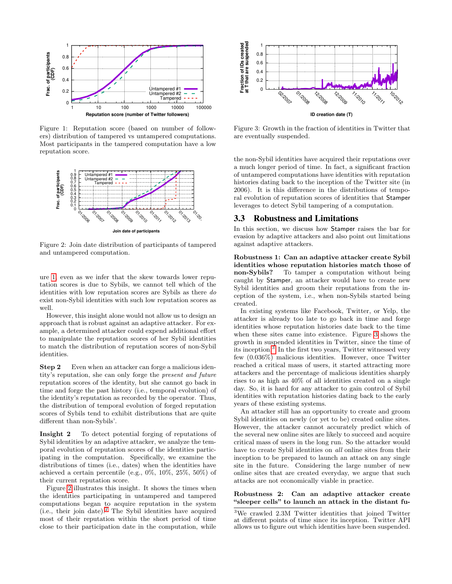<span id="page-3-1"></span>

<span id="page-3-2"></span>Figure 1: Reputation score (based on number of followers) distribution of tampered vs untampered computations. Most participants in the tampered computation have a low reputation score.



Figure 2: Join date distribution of participants of tampered and untampered computation.

ure [1,](#page-3-1) even as we infer that the skew towards lower reputation scores is due to Sybils, we cannot tell which of the identities with low reputation scores are Sybils as there do exist non-Sybil identities with such low reputation scores as well.

However, this insight alone would not allow us to design an approach that is robust against an adaptive attacker. For example, a determined attacker could expend additional effort to manipulate the reputation scores of her Sybil identities to match the distribution of reputation scores of non-Sybil identities.

Step 2 Even when an attacker can forge a malicious identity's reputation, she can only forge the present and future reputation scores of the identity, but she cannot go back in time and forge the past history (i.e., temporal evolution) of the identity's reputation as recorded by the operator. Thus, the distribution of temporal evolution of forged reputation scores of Sybils tend to exhibit distributions that are quite different than non-Sybils'.

Insight 2 To detect potential forging of reputations of Sybil identities by an adaptive attacker, we analyze the temporal evolution of reputation scores of the identities participating in the computation. Specifically, we examine the distributions of times (i.e., dates) when the identities have achieved a certain percentile (e.g., 0%, 10%, 25%, 50%) of their current reputation score.

Figure [2](#page-3-2) illustrates this insight. It shows the times when the identities participating in untampered and tampered computations began to acquire reputation in the system (i.e., their join date).[2](#page-2-1) The Sybil identities have acquired most of their reputation within the short period of time

<span id="page-3-3"></span>

Figure 3: Growth in the fraction of identities in Twitter that are eventually suspended.

the non-Sybil identities have acquired their reputations over a much longer period of time. In fact, a significant fraction of untampered computations have identities with reputation histories dating back to the inception of the Twitter site (in 2006). It is this difference in the distributions of temporal evolution of reputation scores of identities that Stamper leverages to detect Sybil tampering of a computation.

#### <span id="page-3-0"></span>3.3 Robustness and Limitations

In this section, we discuss how Stamper raises the bar for evasion by adaptive attackers and also point out limitations against adaptive attackers.

Robustness 1: Can an adaptive attacker create Sybil identities whose reputation histories match those of non-Sybils? To tamper a computation without being caught by Stamper, an attacker would have to create new Sybil identities and groom their reputations from the inception of the system, i.e., when non-Sybils started being created.

In existing systems like Facebook, Twitter, or Yelp, the attacker is already too late to go back in time and forge identities whose reputation histories date back to the time when these sites came into existence. Figure [3](#page-3-3) shows the growth in suspended identities in Twitter, since the time of its inception.[3](#page-3-4) In the first two years, Twitter witnessed very few (0.036%) malicious identities. However, once Twitter reached a critical mass of users, it started attracting more attackers and the percentage of malicious identities sharply rises to as high as 40% of all identities created on a single day. So, it is hard for any attacker to gain control of Sybil identities with reputation histories dating back to the early years of these existing systems.

An attacker still has an opportunity to create and groom Sybil identities on newly (or yet to be) created online sites. However, the attacker cannot accurately predict which of the several new online sites are likely to succeed and acquire critical mass of users in the long run. So the attacker would have to create Sybil identities on all online sites from their inception to be prepared to launch an attack on any single site in the future. Considering the large number of new online sites that are created everyday, we argue that such attacks are not economically viable in practice.

#### Robustness 2: Can an adaptive attacker create "sleeper cells" to launch an attack in the distant fu-

<span id="page-3-4"></span><sup>3</sup>We crawled 2.3M Twitter identities that joined Twitter at different points of time since its inception. Twitter API allows us to figure out which identities have been suspended.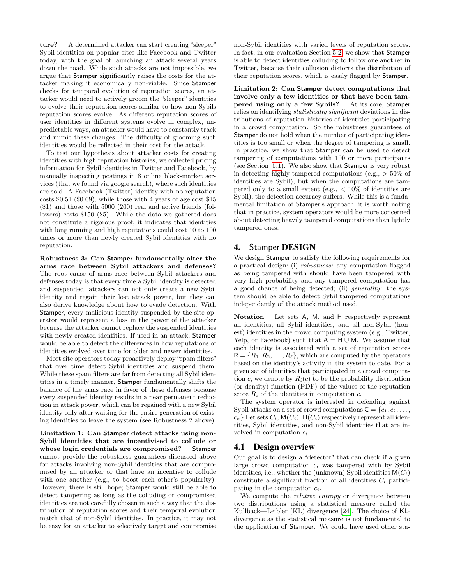ture? A determined attacker can start creating "sleeper" Sybil identities on popular sites like Facebook and Twitter today, with the goal of launching an attack several years down the road. While such attacks are not impossible, we argue that Stamper significantly raises the costs for the attacker making it economically non-viable. Since Stamper checks for temporal evolution of reputation scores, an attacker would need to actively groom the "sleeper" identities to evolve their reputation scores similar to how non-Sybils reputation scores evolve. As different reputation scores of user identities in different systems evolve in complex, unpredictable ways, an attacker would have to constantly track and mimic these changes. The difficulty of grooming such identities would be reflected in their cost for the attack.

To test our hypothesis about attacker costs for creating identities with high reputation histories, we collected pricing information for Sybil identities in Twitter and Facebook, by manually inspecting postings in 8 online black-market services (that we found via google search), where such identities are sold. A Facebook (Twitter) identity with no reputation costs \$0.51 (\$0.09), while those with 4 years of age cost \$15 (\$1) and those with 5000 (200) real and active friends (followers) costs \$150 (\$5). While the data we gathered does not constitute a rigorous proof, it indicates that identities with long running and high reputations could cost 10 to 100 times or more than newly created Sybil identities with no reputation.

Robustness 3: Can Stamper fundamentally alter the arms race between Sybil attackers and defenses? The root cause of arms race between Sybil attackers and defenses today is that every time a Sybil identity is detected and suspended, attackers can not only create a new Sybil identity and regain their lost attack power, but they can also derive knowledge about how to evade detection. With Stamper, every malicious identity suspended by the site operator would represent a loss in the power of the attacker because the attacker cannot replace the suspended identities with newly created identities. If used in an attack, Stamper would be able to detect the differences in how reputations of identities evolved over time for older and newer identities.

Most site operators today proactively deploy "spam filters" that over time detect Sybil identities and suspend them. While these spam filters are far from detecting all Sybil identities in a timely manner, Stamper fundamentally shifts the balance of the arms race in favor of these defenses because every suspended identity results in a near permanent reduction in attack power, which can be regained with a new Sybil identity only after waiting for the entire generation of existing identities to leave the system (see Robustness 2 above).

Limitation 1: Can Stamper detect attacks using non-Sybil identities that are incentivised to collude or whose login credentials are compromised? Stamper cannot provide the robustness guarantees discussed above for attacks involving non-Sybil identities that are compromised by an attacker or that have an incentive to collude with one another (e.g., to boost each other's popularity). However, there is still hope; Stamper would still be able to detect tampering as long as the colluding or compromised identities are not carefully chosen in such a way that the distribution of reputation scores and their temporal evolution match that of non-Sybil identities. In practice, it may not be easy for an attacker to selectively target and compromise non-Sybil identities with varied levels of reputation scores. In fact, in our evaluation Section [5.2,](#page-8-0) we show that Stamper is able to detect identities colluding to follow one another in Twitter, because their collusion distorts the distribution of their reputation scores, which is easily flagged by Stamper.

Limitation 2: Can Stamper detect computations that involve only a few identities or that have been tampered using only a few Sybils? At its core, Stamper relies on identifying statistically significant deviations in distributions of reputation histories of identities participating in a crowd computation. So the robustness guarantees of Stamper do not hold when the number of participating identities is too small or when the degree of tampering is small. In practice, we show that Stamper can be used to detect tampering of computations with 100 or more participants (see Section [5.1\)](#page-6-0). We also show that Stamper is very robust in detecting highly tampered computations (e.g.,  $> 50\%$  of identities are Sybil), but when the computations are tampered only to a small extent (e.g.,  $\langle 10\%$  of identities are Sybil), the detection accuracy suffers. While this is a fundamental limitation of Stamper's approach, it is worth noting that in practice, system operators would be more concerned about detecting heavily tampered computations than lightly tampered ones.

# 4. Stamper DESIGN

We design Stamper to satisfy the following requirements for a practical design: (i) robustness: any computation flagged as being tampered with should have been tampered with very high probability and any tampered computation has a good chance of being detected; (ii) generality: the system should be able to detect Sybil tampered computations independently of the attack method used.

Notation Let sets A, M, and H respectively represent all identities, all Sybil identities, and all non-Sybil (honest) identities in the crowd computing system (e.g., Twitter, Yelp, or Facebook) such that  $A = H \cup M$ . We assume that each identity is associated with a set of reputation scores  $R = \{R_1, R_2, \ldots, R_\ell\}$ , which are computed by the operators based on the identity's activity in the system to date. For a given set of identities that participated in a crowd computation c, we denote by  $R_i(c)$  to be the probability distribution (or density) function (PDF) of the values of the reputation score  $R_i$  of the identities in computation c.

The system operator is interested in defending against Sybil attacks on a set of crowd computations  $C = \{c_1, c_2, \ldots, c_n\}$  $c_n$ } Let sets  $C_i$ ,  $\mathsf{M}(C_i)$ ,  $\mathsf{H}(C_i)$  respectively represent all identities, Sybil identities, and non-Sybil identities that are involved in computation  $c_i$ .

# 4.1 Design overview

Our goal is to design a "detector" that can check if a given large crowd computation  $c_i$  was tampered with by Sybil identities, i.e., whether the (unknown) Sybil identities  $M(C_i)$ constitute a significant fraction of all identities  $C_i$  participating in the computation  $c_i$ .

We compute the *relative entropy* or divergence between two distributions using a statistical measure called the Kullback—Leibler (KL) divergence [\[24\]](#page-11-15). The choice of KLdivergence as the statistical measure is not fundamental to the application of Stamper. We could have used other sta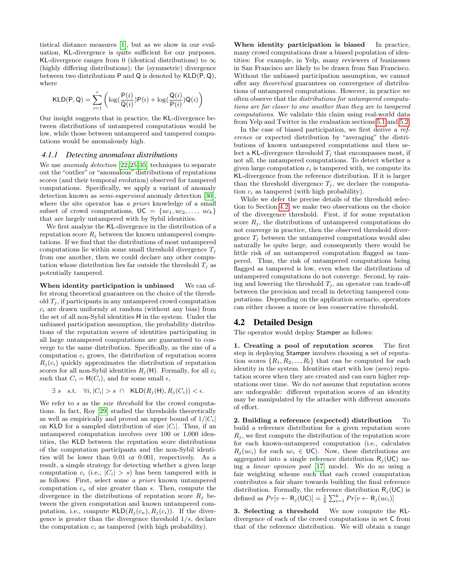tistical distance measures [\[1\]](#page-10-11), but as we show in our evaluation, KL-divergence is quite sufficient for our purposes. KL-divergence ranges from 0 (identical distributions) to  $\infty$ (highly differing distributions); the (symmetric) divergence between two distributions P and Q is denoted by KLD(P, Q), where

$$
\mathsf{KLD}(\mathsf{P},\mathsf{Q}) = \sum_{i=1}^r \left( \log(\frac{\mathsf{P}(i)}{\mathsf{Q}(i)}) \mathsf{P}(i) + \log(\frac{\mathsf{Q}(i)}{\mathsf{P}(i)}) \mathsf{Q}(i) \right)
$$

Our insight suggests that in practice, the KL-divergence between distributions of untampered computations would be low, while those between untampered and tampered computations would be anomalously high.

#### *4.1.1 Detecting anomalous distributions*

We use *anomaly detection* [\[22,](#page-11-16) [25,](#page-11-17) [35\]](#page-11-2) techniques to separate out the "outlier" or "anomalous" distributions of reputations scores (and their temporal evolution) observed for tampered computations. Specifically, we apply a variant of anomaly detection known as *semi-supervised* anomaly detection [\[30\]](#page-11-18), where the site operator has a priori knowledge of a small subset of crowd computations,  $UC = \{uc_1, uc_2, \ldots, uc_k\}$ that are largely untampered with by Sybil identities.

We first analyze the KL-divergence in the distribution of a reputation score  $R_j$  between the known untampered computations. If we find that the distributions of most untampered computations lie within some small threshold divergence  $T_i$ from one another, then we could declare any other computation whose distribution lies far outside the threshold  $T_i$  as potentially tampered.

When identity participation is unbiased We can offer strong theoretical guarantees on the choice of the threshold  $T_i$ , if participants in any untampered crowd computation  $c_i$  are drawn uniformly at random (without any bias) from the set of all non-Sybil identities H in the system. Under the unbiased participation assumption, the probability distributions of the reputation scores of identities participating in all large untampered computations are guaranteed to converge to the same distribution. Specifically, as the size of a computation  $c_i$  grows, the distribution of reputation scores  $R_i(c_i)$  quickly approximates the distribution of reputation scores for all non-Sybil identities  $R_i(H)$ . Formally, for all  $c_i$ such that  $C_i = H(C_i)$ , and for some small  $\epsilon$ ,

$$
\exists s \quad s.t. \quad \forall i, |C_i| > s \cap \quad \mathsf{KLD}(R_j(\mathsf{H}), R_j(C_i)) < \epsilon.
$$

We refer to s as the *size threshold* for the crowd computations. In fact, Roy [\[29\]](#page-11-19) studied the thresholds theoretically as well as empirically and proved an upper bound of  $1/|C_i|$ on KLD for a sampled distribution of size  $|C_i|$ . Thus, if an untampered computation involves over 100 or 1,000 identities, the KLD between the reputation score distributions of the computation participants and the non-Sybil identities will be lower than 0.01 or 0.001, respectively. As a result, a simple strategy for detecting whether a given large computation  $c_i$  (i.e.,  $|C_i| > s$ ) has been tampered with is as follows: First, select some a priori known untampered computation  $c_u$  of size greater than s. Then, compute the divergence in the distributions of reputation score  $R_i$  between the given computation and known untampered computation, i.e., compute  $\mathsf{KLD}(R_i(c_u), R_i(c_i))$ . If the divergence is greater than the divergence threshold  $1/s$ , declare the computation  $c_i$  as tampered (with high probability).

When identity participation is biased In practice, many crowd computations draw a biased population of identities: For example, in Yelp, many reviewers of businesses in San Francisco are likely to be drawn from San Francisco. Without the unbiased participation assumption, we cannot offer any theoretical guarantees on convergence of distributions of untampered computations. However, in practice we often observe that the distributions for untampered computations are far closer to one another than they are to tampered computations. We validate this claim using real-world data from Yelp and Twitter in the evaluation sections [5.1](#page-6-0) and [5.2.](#page-8-0)

In the case of biased participation, we first derive a reference or expected distribution by "averaging" the distributions of known untampered computations and then select a KL-divergence threshold  $T_i$  that encompasses most, if not all, the untampered computations. To detect whether a given large computation  $c_i$  is tampered with, we compute its KL-divergence from the reference distribution. If it is larger than the threshold divergence  $T_i$ , we declare the computation  $c_i$  as tampered (with high probability).

While we defer the precise details of the threshold selection to Section [4.2,](#page-5-0) we make two observations on the choice of the divergence threshold. First, if for some reputation score  $R_j$ , the distributions of untampered computations do not converge in practice, then the observed threshold divergence  $T_j$  between the untampered computations would also naturally be quite large, and consequently there would be little risk of an untampered computation flagged as tampered. Thus, the risk of untampered computations being flagged as tampered is low, even when the distributions of untampered computations do not converge. Second, by raising and lowering the threshold  $T_j$ , an operator can trade-off between the precision and recall in detecting tampered computations. Depending on the application scenario, operators can either choose a more or less conservative threshold.

## <span id="page-5-0"></span>4.2 Detailed Design

The operator would deploy Stamper as follows:

1. Creating a pool of reputation scores The first step in deploying Stamper involves choosing a set of reputation scores  $\{R_1, R_2, ..., R_l\}$  that can be computed for each identity in the system. Identities start with low (zero) reputation scores when they are created and can earn higher reputations over time. We do not assume that reputation scores are unforgeable: different reputation scores of an identity may be manipulated by the attacker with different amounts of effort.

2. Building a reference (expected) distribution To build a reference distribution for a given reputation score  $R_i$ , we first compute the distribution of the reputation score for each known-untampered computation (i.e., calculates  $R_i (uc_i)$  for each  $uc_i \in \mathsf{UC}$ ). Now, these distributions are aggregated into a single reference distribution  $R_i(UC)$  using a linear opinion pool [\[17\]](#page-10-12) model. We do so using a fair weighting scheme such that each crowd computation contributes a fair share towards building the final reference distribution. Formally, the reference distribution  $R_j(UC)$  is defined as  $Pr[v \leftarrow R_j(\mathsf{UC})] = \frac{1}{k} \sum_{i=1}^k Pr[v \leftarrow R_j(uc_i)]$ 

3. Selecting a threshold We now compute the KLdivergence of each of the crowd computations in set C from that of the reference distribution. We will obtain a range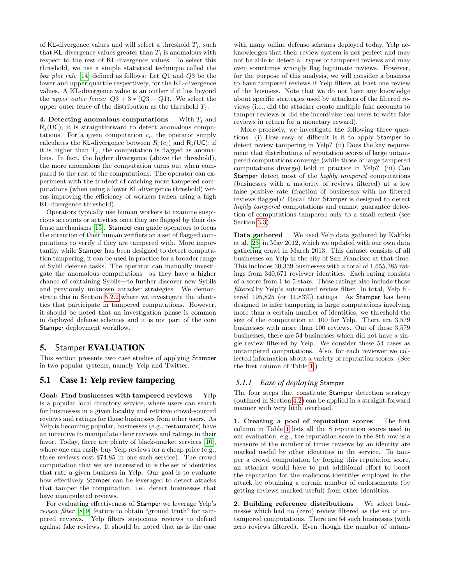of KL-divergence values and will select a threshold  $T_i$ , such that KL-divergence values greater than  $T_i$  is anomalous with respect to the rest of KL-divergence values. To select this threshold, we use a simple statistical technique called the box plot rule [\[14\]](#page-10-13) defined as follows: Let Q1 and Q3 be the lower and upper quartile respectively, for the KL-divergence values. A KL-divergence value is an outlier if it lies beyond the upper outer fence:  $Q3 + 3 * (Q3 - Q1)$ . We select the upper outer fence of the distribution as the threshold  $T_i$ .

4. Detecting anomalous computations With  $T_i$  and  $R_i(UC)$ , it is straightforward to detect anomalous computations. For a given computation  $c_i$ , the operator simply calculates the KL-divergence between  $R_i(c_i)$  and  $R_i (UC)$ ; if it is higher than  $T_i$ , the computation is flagged as anomalous. In fact, the higher divergence (above the threshold), the more anomalous the computation turns out when compared to the rest of the computations. The operator can experiment with the tradeoff of catching more tampered computations (when using a lower KL-divergence threshold) versus improving the efficiency of workers (when using a high KL-divergence threshold).

Operators typically use human workers to examine suspicious accounts or activities once they are flagged by their defense mechanisms [\[15\]](#page-10-1). Stamper can guide operators to focus the attention of their human verifiers on a set of flagged computations to verify if they are tampered with. More importantly, while Stamper has been designed to detect computation tampering, it can be used in practice for a broader range of Sybil defense tasks. The operator can manually investigate the anomalous computations—as they have a higher chance of containing Sybils—to further discover new Sybils and previously unknown attacker strategies. We demonstrate this in Section [5.2.2](#page-8-1) where we investigate the identities that participate in tampered computations. However, it should be noted that an investigation phase is common in deployed defense schemes and it is not part of the core Stamper deployment workflow.

# 5. Stamper EVALUATION

This section presents two case studies of applying Stamper in two popular systems, namely Yelp and Twitter.

## <span id="page-6-0"></span>5.1 Case 1: Yelp review tampering

Goal: Find businesses with tampered reviews Yelp is a popular local directory service, where users can search for businesses in a given locality and retrieve crowd-sourced reviews and ratings for those businesses from other users. As Yelp is becoming popular, businesses (e.g., restaurants) have an incentive to manipulate their reviews and ratings in their favor. Today, there are plenty of black-market services [\[10\]](#page-10-14), where one can easily buy Yelp reviews for a cheap price (e.g., three reviews cost \$74.85 in one such service). The crowd computation that we are interested in is the set of identities that rate a given business in Yelp. Our goal is to evaluate how effectively Stamper can be leveraged to detect attacks that tamper the computation, i.e., detect businesses that have manipulated reviews.

For evaluating effectiveness of Stamper we leverage Yelp's review filter [\[8,](#page-10-15) [9\]](#page-10-16) feature to obtain "ground truth" for tampered reviews. Yelp filters suspicious reviews to defend against fake reviews. It should be noted that as is the case with many online defense schemes deployed today, Yelp acknowledges that their review system is not perfect and may not be able to detect all types of tampered reviews and may even sometimes wrongly flag legitimate reviews. However, for the purpose of this analysis, we will consider a business to have tampered reviews if Yelp filters at least one review of the business. Note that we do not have any knowledge about specific strategies used by attackers of the filtered reviews (i.e., did the attacker create multiple fake accounts to tamper reviews or did she incentivize real users to write fake reviews in return for a monetary reward).

More precisely, we investigate the following three questions: (i) How easy or difficult is it to apply Stamper to detect review tampering in Yelp? (ii) Does the key requirement that distributions of reputation scores of large untampered computations converge (while those of large tampered computations diverge) hold in practice in Yelp? (iii) Can Stamper detect most of the *highly tampered* computations (businesses with a majority of reviews filtered) at a low false positive rate (fraction of businesses with no filtered reviews flagged)? Recall that Stamper is designed to detect highly tampered computations and cannot guarantee detection of computations tampered only to a small extent (see Section [3.3\)](#page-3-0).

Data gathered We used Yelp data gathered by Kakhki et al. [\[23\]](#page-11-14) in May 2012, which we updated with our own data gathering crawl in March 2013. This dataset consists of all businesses on Yelp in the city of San Francisco at that time. This includes 30,339 businesses with a total of 1,655,385 ratings from 340,671 reviewer identities. Each rating consists of a score from 1 to 5 stars. These ratings also include those filtered by Yelp's automated review filter. In total, Yelp filtered 195,825 (or 11.83%) ratings. As Stamper has been designed to infer tampering in large computations involving more than a certain number of identities, we threshold the size of the computation at 100 for Yelp. There are 3,579 businesses with more than 100 reviews. Out of these 3,579 businesses, there are 54 businesses which did not have a single review filtered by Yelp. We consider these 54 cases as untampered computations. Also, for each reviewer we collected information about a variety of reputation scores. (See the first column of Table [1.](#page-7-0))

#### *5.1.1 Ease of deploying* Stamper

The four steps that constitute Stamper detection strategy (outlined in Section [4.2\)](#page-5-0) can be applied in a straight-forward manner with very little overhead.

1. Creating a pool of reputation scores The first column in Table [1](#page-7-0) lists all the 8 reputation scores used in our evaluation; e.g., the reputation score in the 8th row is a measure of the number of times reviews by an identity are marked useful by other identities in the service. To tamper a crowd computation by forging this reputation score, an attacker would have to put additional effort to boost the reputation for the malicious identities employed in the attack by obtaining a certain number of endorsements (by getting reviews marked useful) from other identities.

2. Building reference distributions We select businesses which had no (zero) review filtered as the set of untampered computations. There are 54 such businesses (with zero reviews filtered). Even though the number of untam-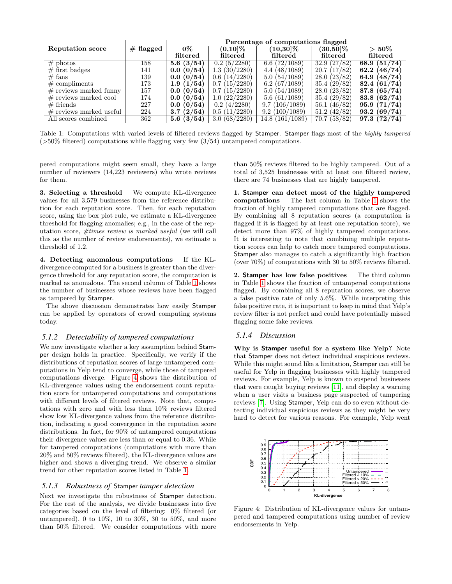<span id="page-7-0"></span>

|                           |              | Percentage of computations flagged |                               |                      |                              |                           |
|---------------------------|--------------|------------------------------------|-------------------------------|----------------------|------------------------------|---------------------------|
| <b>Reputation score</b>   | $\#$ flagged | $0\%$                              | $(0,10]\%$                    | $(10,30]\%$          | $(30,50]\%$                  | $>50\%$                   |
|                           |              | filtered                           | filtered                      | filtered             | filtered                     | filtered                  |
| $#$ photos                | 158          | 5.6(3/54)                          | 0.2(5/2280)                   | 6.6(72/1089)         | 32.9(27/82)                  | 68.9 $(51/\overline{74})$ |
| $#$ first badges          | 141          | (0/54)<br>0.0                      | 1.3(30/2280)                  | 4.4 (48/1089)        | 20.7(17/82)                  | (46/74)<br>62.2           |
| $#$ fans                  | 139          | 0.0(0/54)                          | (14/2280)<br>0.6              | 5.0(54/1089)         | 28.0(23/82)                  | (48/74)<br>64.9           |
| $\#$ compliments          | 173          | 1.9(1/54)                          | (15/2280)<br>0.7              | 6.2(67/1089)         | 35.4(29/82)                  | (61/74)<br>82.4           |
| $\#$ reviews marked funny | 157          | 0.0(0/54)                          | (15/2280)<br>0.7              | 5.0(54/1089)         | 28.0(23/82)                  | (65/74)<br>87.8           |
| $#$ reviews marked cool   | 174          | 0.0(0/54)                          | (22/2280)<br>1.0 <sup>°</sup> | 5.6(61/1089)         | 35.4 (29/82)                 | (62/74)<br>83.8           |
| $#$ friends               | 227          | (0/54)<br>$0.0\,$                  | (4/2280)<br>0.2               | 9.7(106/1089)        | (46/82)<br>56.1 <sub>0</sub> | (71/74)<br>95.9           |
| $#$ reviews marked useful | 224          | (2/54)<br>3.7                      | (11/2280)<br>0.5              | 9.2(100/1089)        | 51.2(42/82)                  | (69/74)<br>93.2           |
| All scores combined       | 362          | 5.6(3/54)                          | 3.0(68/2280)                  | (161/1089)<br>14.8 ( | 70.7(58/82)                  | (72/74)<br>97.3           |

Table 1: Computations with varied levels of filtered reviews flagged by Stamper. Stamper flags most of the highly tampered (>50% filtered) computations while flagging very few (3/54) untampered computations.

pered computations might seem small, they have a large number of reviewers (14,223 reviewers) who wrote reviews for them.

3. Selecting a threshold We compute KL-divergence values for all 3,579 businesses from the reference distribution for each reputation score. Then, for each reputation score, using the box plot rule, we estimate a KL-divergence threshold for flagging anomalies; e.g., in the case of the reputation score, #times review is marked useful (we will call this as the number of review endorsements), we estimate a threshold of 1.2.

4. Detecting anomalous computations If the KLdivergence computed for a business is greater than the divergence threshold for any reputation score, the computation is marked as anomalous. The second column of Table [1](#page-7-0) shows the number of businesses whose reviews have been flagged as tampered by Stamper.

The above discussion demonstrates how easily Stamper can be applied by operators of crowd computing systems today.

#### *5.1.2 Detectability of tampered computations*

We now investigate whether a key assumption behind Stamper design holds in practice. Specifically, we verify if the distributions of reputation scores of large untampered computations in Yelp tend to converge, while those of tampered computations diverge. Figure [4](#page-7-1) shows the distribution of KL-divergence values using the endorsement count reputation score for untampered computations and computations with different levels of filtered reviews. Note that, computations with zero and with less than 10% reviews filtered show low KL-divergence values from the reference distribution, indicating a good convergence in the reputation score distributions. In fact, for 90% of untampered computations their divergence values are less than or equal to 0.36. While for tampered computations (computations with more than 20% and 50% reviews filtered), the KL-divergence values are higher and shows a diverging trend. We observe a similar trend for other reputation scores listed in Table [1.](#page-7-0)

#### *5.1.3 Robustness of* Stamper *tamper detection*

Next we investigate the robustness of Stamper detection. For the rest of the analysis, we divide businesses into five categories based on the level of filtering: 0% filtered (or untampered), 0 to 10%, 10 to 30%, 30 to 50%, and more than 50% filtered. We consider computations with more than 50% reviews filtered to be highly tampered. Out of a total of 3,525 businesses with at least one filtered review, there are 74 businesses that are highly tampered.

1. Stamper can detect most of the highly tampered computations The last column in Table [1](#page-7-0) shows the fraction of highly tampered computations that are flagged. By combining all 8 reputation scores (a computation is flagged if it is flagged by at least one reputation score), we detect more than 97% of highly tampered computations. It is interesting to note that combining multiple reputation scores can help to catch more tampered computations. Stamper also manages to catch a significantly high fraction (over  $70\%$ ) of computations with 30 to  $50\%$  reviews filtered.

2. Stamper has low false positives The third column in Table [1](#page-7-0) shows the fraction of untampered computations flagged. By combining all 8 reputation scores, we observe a false positive rate of only 5.6%. While interpreting this false positive rate, it is important to keep in mind that Yelp's review filter is not perfect and could have potentially missed flagging some fake reviews.

#### *5.1.4 Discussion*

Why is Stamper useful for a system like Yelp? Note that Stamper does not detect individual suspicious reviews. While this might sound like a limitation, Stamper can still be useful for Yelp in flagging businesses with highly tampered reviews. For example, Yelp is known to suspend businesses that were caught buying reviews [\[11\]](#page-10-17), and display a warning when a user visits a business page suspected of tampering reviews [\[7\]](#page-10-18). Using Stamper, Yelp can do so even without detecting individual suspicious reviews as they might be very hard to detect for various reasons. For example, Yelp went

<span id="page-7-1"></span>

Figure 4: Distribution of KL-divergence values for untampered and tampered computations using number of review endorsements in Yelp.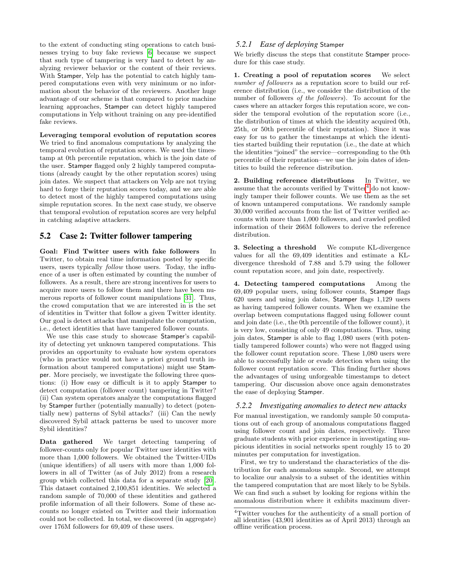to the extent of conducting sting operations to catch businesses trying to buy fake reviews [\[6\]](#page-10-19) because we suspect that such type of tampering is very hard to detect by analyzing reviewer behavior or the content of their reviews. With Stamper, Yelp has the potential to catch highly tampered computations even with very minimum or no information about the behavior of the reviewers. Another huge advantage of our scheme is that compared to prior machine learning approaches, Stamper can detect highly tampered computations in Yelp without training on any pre-identified fake reviews.

Leveraging temporal evolution of reputation scores We tried to find anomalous computations by analyzing the temporal evolution of reputation scores. We used the timestamp at 0th percentile reputation, which is the join date of the user. Stamper flagged only 2 highly tampered computations (already caught by the other reputation scores) using join dates. We suspect that attackers on Yelp are not trying hard to forge their reputation scores today, and we are able to detect most of the highly tampered computations using simple reputation scores. In the next case study, we observe that temporal evolution of reputation scores are very helpful in catching adaptive attackers.

# <span id="page-8-0"></span>5.2 Case 2: Twitter follower tampering

Goal: Find Twitter users with fake followers In Twitter, to obtain real time information posted by specific users, users typically follow those users. Today, the influence of a user is often estimated by counting the number of followers. As a result, there are strong incentives for users to acquire more users to follow them and there have been numerous reports of follower count manipulations [\[31\]](#page-11-20). Thus, the crowd computation that we are interested in is the set of identities in Twitter that follow a given Twitter identity. Our goal is detect attacks that manipulate the computation, i.e., detect identities that have tampered follower counts.

We use this case study to showcase Stamper's capability of detecting yet unknown tampered computations. This provides an opportunity to evaluate how system operators (who in practice would not have a priori ground truth information about tampered computations) might use Stamper. More precisely, we investigate the following three questions: (i) How easy or difficult is it to apply Stamper to detect computation (follower count) tampering in Twitter? (ii) Can system operators analyze the computations flagged by Stamper further (potentially manually) to detect (potentially new) patterns of Sybil attacks? (iii) Can the newly discovered Sybil attack patterns be used to uncover more Sybil identities?

Data gathered We target detecting tampering of follower-counts only for popular Twitter user identities with more than 1,000 followers. We obtained the Twitter-UIDs (unique identifiers) of all users with more than 1,000 followers in all of Twitter (as of July 2012) from a research group which collected this data for a separate study [\[20\]](#page-10-20). This dataset contained 2,100,851 identities. We selected a random sample of 70,000 of these identities and gathered profile information of all their followers. Some of these accounts no longer existed on Twitter and their information could not be collected. In total, we discovered (in aggregate) over 176M followers for 69,409 of these users.

## *5.2.1 Ease of deploying* Stamper

We briefly discuss the steps that constitute Stamper procedure for this case study.

1. Creating a pool of reputation scores We select number of followers as a reputation score to build our reference distribution (i.e., we consider the distribution of the number of followers of the followers). To account for the cases where an attacker forges this reputation score, we consider the temporal evolution of the reputation score (i.e., the distribution of times at which the identity acquired 0th, 25th, or 50th percentile of their reputation). Since it was easy for us to gather the timestamps at which the identities started building their reputation (i.e., the date at which the identities "joined" the service—corresponding to the 0th percentile of their reputation—we use the join dates of identities to build the reference distribution.

2. Building reference distributions In Twitter, we assume that the accounts verified by  $Twitter<sup>4</sup>$  $Twitter<sup>4</sup>$  $Twitter<sup>4</sup>$  do not knowingly tamper their follower counts. We use them as the set of known untampered computations. We randomly sample 30,000 verified accounts from the list of Twitter verified accounts with more than 1,000 followers, and crawled profiled information of their 266M followers to derive the reference distribution.

3. Selecting a threshold We compute KL-divergence values for all the 69,409 identities and estimate a KLdivergence threshold of 7.88 and 5.79 using the follower count reputation score, and join date, respectively.

4. Detecting tampered computations Among the 69,409 popular users, using follower counts, Stamper flags 620 users and using join dates, Stamper flags 1,129 users as having tampered follower counts. When we examine the overlap between computations flagged using follower count and join date (i.e., the 0th percentile of the follower count), it is very low, consisting of only 49 computations. Thus, using join dates, Stamper is able to flag 1,080 users (with potentially tampered follower counts) who were not flagged using the follower count reputation score. These 1,080 users were able to successfully hide or evade detection when using the follower count reputation score. This finding further shows the advantages of using unforgeable timestamps to detect tampering. Our discussion above once again demonstrates the ease of deploying Stamper.

## <span id="page-8-1"></span>*5.2.2 Investigating anomalies to detect new attacks*

For manual investigation, we randomly sample 50 computations out of each group of anomalous computations flagged using follower count and join dates, respectively. Three graduate students with prior experience in investigating suspicious identities in social networks spent roughly 15 to 20 minutes per computation for investigation.

First, we try to understand the characteristics of the distribution for each anomalous sample. Second, we attempt to localize our analysis to a subset of the identities within the tampered computation that are most likely to be Sybils. We can find such a subset by looking for regions within the anomalous distribution where it exhibits maximum diver-

<span id="page-8-2"></span><sup>4</sup>Twitter vouches for the authenticity of a small portion of all identities (43,901 identities as of April 2013) through an offline verification process.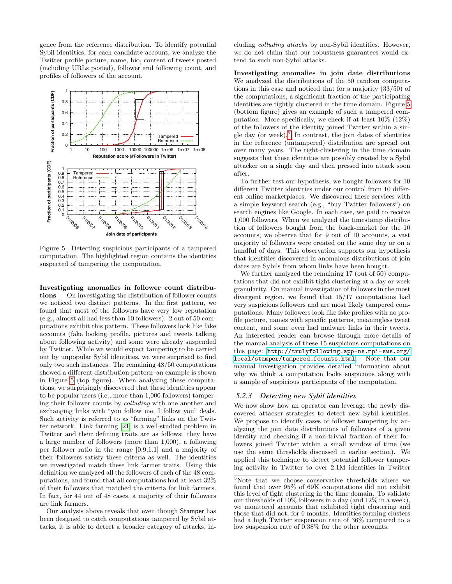gence from the reference distribution. To identify potential Sybil identities, for each candidate account, we analyze the Twitter profile picture, name, bio, content of tweets posted (including URLs posted), follower and following count, and profiles of followers of the account.

<span id="page-9-0"></span>

Figure 5: Detecting suspicious participants of a tampered computation. The highlighted region contains the identities suspected of tampering the computation.

Investigating anomalies in follower count distributions On investigating the distribution of follower counts we noticed two distinct patterns. In the first pattern, we found that most of the followers have very low reputation (e.g., almost all had less than 10 followers). 2 out of 50 computations exhibit this pattern. These followers look like fake accounts (fake looking profile, pictures and tweets talking about following activity) and some were already suspended by Twitter. While we would expect tampering to be carried out by unpopular Sybil identities, we were surprised to find only two such instances. The remaining 48/50 computations showed a different distribution pattern–an example is shown in Figure [5](#page-9-0) (top figure). When analyzing these computations, we surprisingly discovered that these identities appear to be popular users (i.e., more than 1,000 followers) tampering their follower counts by colluding with one another and exchanging links with "you follow me, I follow you" deals. Such activity is referred to as "farming" links on the Twitter network. Link farming [\[21\]](#page-10-21) is a well-studied problem in Twitter and their defining traits are as follows: they have a large number of followers (more than 1,000), a following per follower ratio in the range [0.9,1.1] and a majority of their followers satisfy these criteria as well. The identities we investigated match these link farmer traits. Using this definition we analyzed all the followers of each of the 48 computations, and found that all computations had at least 32% of their followers that matched the criteria for link farmers. In fact, for 44 out of 48 cases, a majority of their followers are link farmers.

Our analysis above reveals that even though Stamper has been designed to catch computations tampered by Sybil attacks, it is able to detect a broader category of attacks, including colluding attacks by non-Sybil identities. However, we do not claim that our robustness guarantees would extend to such non-Sybil attacks.

Investigating anomalies in join date distributions We analyzed the distributions of the 50 random computations in this case and noticed that for a majority (33/50) of the computations, a significant fraction of the participating identities are tightly clustered in the time domain. Figure [5](#page-9-0) (bottom figure) gives an example of such a tampered computation. More specifically, we check if at least 10% (12%) of the followers of the identity joined Twitter within a sin-gle day (or week).<sup>[5](#page-9-1)</sup> In contrast, the join dates of identities in the reference (untampered) distribution are spread out over many years. The tight-clustering in the time domain suggests that these identities are possibly created by a Sybil attacker on a single day and then pressed into attack soon after.

To further test our hypothesis, we bought followers for 10 different Twitter identities under our control from 10 different online marketplaces. We discovered these services with a simple keyword search (e.g., "buy Twitter followers") on search engines like Google. In each case, we paid to receive 1,000 followers. When we analyzed the timestamp distribution of followers bought from the black-market for the 10 accounts, we observe that for 9 out of 10 accounts, a vast majority of followers were created on the same day or on a handful of days. This observation supports our hypothesis that identities discovered in anomalous distributions of join dates are Sybils from whom links have been bought.

We further analyzed the remaining 17 (out of 50) computations that did not exhibit tight clustering at a day or week granularity. On manual investigation of followers in the most divergent region, we found that 15/17 computations had very suspicious followers and are most likely tampered computations. Many followers look like fake profiles with no profile picture, names with specific patterns, meaningless tweet content, and some even had malware links in their tweets. An interested reader can browse through more details of the manual analysis of these 15 suspicious computations on this page: [http://trulyfollowing.app-ns.mpi-sws.org/](http://trulyfollowing.app-ns.mpi-sws.org/local/stamper/tampered_fcounts.html) [local/stamper/tampered\\_fcounts.html](http://trulyfollowing.app-ns.mpi-sws.org/local/stamper/tampered_fcounts.html). Note that our manual investigation provides detailed information about why we think a computation looks suspicious along with a sample of suspicious participants of the computation.

#### *5.2.3 Detecting new Sybil identities*

We now show how an operator can leverage the newly discovered attacker strategies to detect new Sybil identities. We propose to identify cases of follower tampering by analyzing the join date distributions of followers of a given identity and checking if a non-trivial fraction of their followers joined Twitter within a small window of time (we use the same thresholds discussed in earlier section). We applied this technique to detect potential follower tampering activity in Twitter to over 2.1M identities in Twitter

<span id="page-9-1"></span><sup>5</sup>Note that we choose conservative thresholds where we found that over 95% of 69K computations did not exhibit this level of tight clustering in the time domain. To validate our thresholds of 10% followers in a day (and 12% in a week), we monitored accounts that exhibited tight clustering and those that did not, for 6 months. Identities forming clusters had a high Twitter suspension rate of 36% compared to a low suspension rate of 0.38% for the other accounts.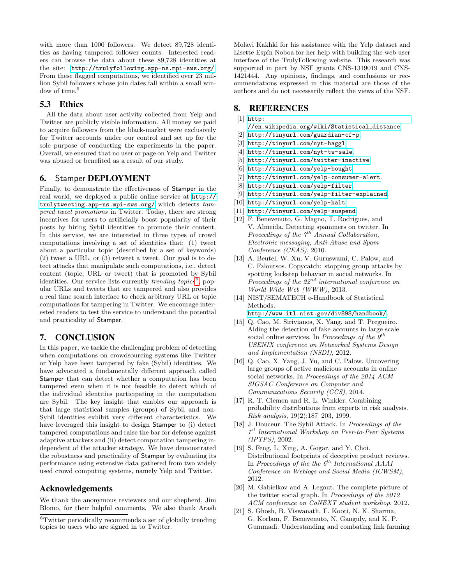with more than 1000 followers. We detect 89,728 identities as having tampered follower counts. Interested readers can browse the data about these 89,728 identities at the site: <http://trulyfollowing.app-ns.mpi-sws.org/>. From these flagged computations, we identified over 23 million Sybil followers whose join dates fall within a small window of time.<sup>5</sup>

# 5.3 Ethics

All the data about user activity collected from Yelp and Twitter are publicly visible information. All money we paid to acquire followers from the black-market were exclusively for Twitter accounts under our control and set up for the sole purpose of conducting the experiments in the paper. Overall, we ensured that no user or page on Yelp and Twitter was abused or benefited as a result of our study.

# <span id="page-10-3"></span>6. Stamper DEPLOYMENT

Finally, to demonstrate the effectiveness of Stamper in the real world, we deployed a public online service at [http://](http://trulytweeting.app-ns.mpi-sws.org/) [trulytweeting.app-ns.mpi-sws.org/](http://trulytweeting.app-ns.mpi-sws.org/) which detects  $tam$ pered tweet promotions in Twitter. Today, there are strong incentives for users to artificially boost popularity of their posts by hiring Sybil identities to promote their content. In this service, we are interested in three types of crowd computations involving a set of identities that: (1) tweet about a particular topic (described by a set of keywords) (2) tweet a URL, or (3) retweet a tweet. Our goal is to detect attacks that manipulate such computations, i.e., detect content (topic, URL or tweet) that is promoted by Sybil identities. Our service lists currently *trending topics*<sup>[6](#page-10-22)</sup>, popular URLs and tweets that are tampered and also provides a real time search interface to check arbitrary URL or topic computations for tampering in Twitter. We encourage interested readers to test the service to understand the potential and practicality of Stamper.

# 7. CONCLUSION

In this paper, we tackle the challenging problem of detecting when computations on crowdsourcing systems like Twitter or Yelp have been tampered by fake (Sybil) identities. We have advocated a fundamentally different approach called Stamper that can detect whether a computation has been tampered even when it is not feasible to detect which of the individual identities participating in the computation are Sybil. The key insight that enables our approach is that large statistical samples (groups) of Sybil and non-Sybil identities exhibit very different characteristics. We have leveraged this insight to design Stamper to (i) detect tampered computations and raise the bar for defense against adaptive attackers and (ii) detect computation tampering independent of the attacker strategy. We have demonstrated the robustness and practicality of Stamper by evaluating its performance using extensive data gathered from two widely used crowd computing systems, namely Yelp and Twitter.

# Acknowledgements

We thank the anonymous reviewers and our shepherd, Jim Blomo, for their helpful comments. We also thank Arash Molavi Kakhki for his assistance with the Yelp dataset and Lisette Espín Noboa for her help with building the web user interface of the TrulyFollowing website. This research was supported in part by NSF grants CNS-1319019 and CNS-1421444. Any opinions, findings, and conclusions or recommendations expressed in this material are those of the authors and do not necessarily reflect the views of the NSF.

# 8. REFERENCES

#### <span id="page-10-11"></span> $[1]$  [http:](http://en.wikipedia.org/wiki/Statistical_distance)

- [//en.wikipedia.org/wiki/Statistical\\_distance](http://en.wikipedia.org/wiki/Statistical_distance).
- <span id="page-10-6"></span>[2] <http://tinyurl.com/guardian-cf-p>.
- <span id="page-10-5"></span>[3] <http://tinyurl.com/nyt-haggl>.
- <span id="page-10-4"></span>[4] <http://tinyurl.com/nyt-tw-sale>.
- <span id="page-10-8"></span>[5] <http://tinyurl.com/twitter-inactive>.
- <span id="page-10-19"></span>[6] <http://tinyurl.com/yelp-bought>.
- <span id="page-10-18"></span>[7] <http://tinyurl.com/yelp-consumer-alert>.
- <span id="page-10-15"></span>[8] <http://tinyurl.com/yelp-filter>.
- <span id="page-10-16"></span>[9] <http://tinyurl.com/yelp-filter-explained>.
- <span id="page-10-14"></span>[10] <http://tinyurl.com/yelp-halt>.
- <span id="page-10-17"></span>[11] <http://tinyurl.com/yelp-suspend>.
- <span id="page-10-7"></span>[12] F. Benevenuto, G. Magno, T. Rodrigues, and V. Almeida. Detecting spammers on twitter. In Proceedings of the  $\gamma^{th}$  Annual Collaboration, Electronic messaging, Anti-Abuse and Spam Conference (CEAS), 2010.
- <span id="page-10-10"></span>[13] A. Beutel, W. Xu, V. Guruswami, C. Palow, and C. Faloutsos. Copycatch: stopping group attacks by spotting lockstep behavior in social networks. In Proceedings of the  $22^{nd}$  international conference on World Wide Web (WWW), 2013.
- <span id="page-10-13"></span>[14] NIST/SEMATECH e-Handbook of Statistical Methods.

<http://www.itl.nist.gov/div898/handbook/>.

- <span id="page-10-1"></span>[15] Q. Cao, M. Sirivianos, X. Yang, and T. Pregueiro. Aiding the detection of fake accounts in large scale social online services. In Proceedings of the  $9^{th}$ USENIX conference on Networked Systems Design and Implementation (NSDI), 2012.
- <span id="page-10-9"></span>[16] Q. Cao, X. Yang, J. Yu, and C. Palow. Uncovering large groups of active malicious accounts in online social networks. In Proceedings of the 2014 ACM SIGSAC Conference on Computer and Communications Security (CCS), 2014.
- <span id="page-10-12"></span>[17] R. T. Clemen and R. L. Winkler. Combining probability distributions from experts in risk analysis. Risk analysis, 19(2):187–203, 1999.
- <span id="page-10-0"></span>[18] J. Douceur. The Sybil Attack. In Proceedings of the 1 st International Workshop on Peer-to-Peer Systems (IPTPS), 2002.
- <span id="page-10-2"></span>[19] S. Feng, L. Xing, A. Gogar, and Y. Choi. Distributional footprints of deceptive product reviews. In Proceedings of the the  $6<sup>th</sup>$  International AAAI Conference on Weblogs and Social Media (ICWSM), 2012.
- <span id="page-10-20"></span>[20] M. Gabielkov and A. Legout. The complete picture of the twitter social graph. In Proceedings of the 2012 ACM conference on CoNEXT student workshop, 2012.
- <span id="page-10-21"></span>[21] S. Ghosh, B. Viswanath, F. Kooti, N. K. Sharma, G. Korlam, F. Benevenuto, N. Ganguly, and K. P. Gummadi. Understanding and combating link farming

<span id="page-10-22"></span><sup>6</sup>Twitter periodically recommends a set of globally trending topics to users who are signed in to Twitter.